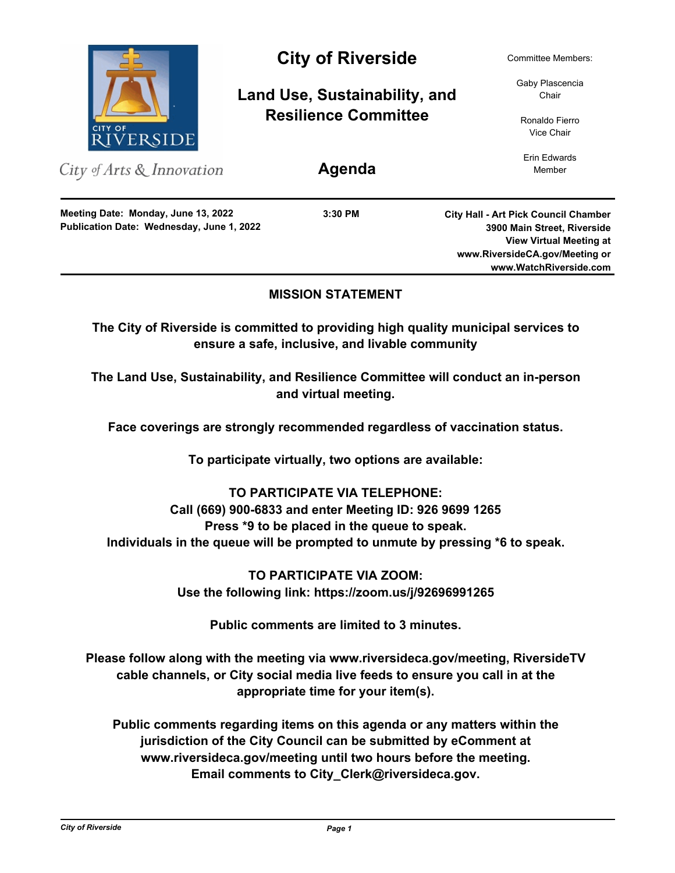

City of Arts & Innovation

**Publication Date: Wednesday, June 1, 2022 Meeting Date: Monday, June 13, 2022**

# City of Riverside Committee Members:

**Land Use, Sustainability, and Resilience Committee**

Gaby Plascencia Chair

Ronaldo Fierro Vice Chair

Erin Edwards **Agenda** Member

**3:30 PM**

**City Hall - Art Pick Council Chamber 3900 Main Street, Riverside View Virtual Meeting at www.RiversideCA.gov/Meeting or www.WatchRiverside.com**

### **MISSION STATEMENT**

**The City of Riverside is committed to providing high quality municipal services to ensure a safe, inclusive, and livable community**

**The Land Use, Sustainability, and Resilience Committee will conduct an in-person and virtual meeting.** 

**Face coverings are strongly recommended regardless of vaccination status.**

**To participate virtually, two options are available:**

## **TO PARTICIPATE VIA TELEPHONE: Call (669) 900-6833 and enter Meeting ID: 926 9699 1265 Press \*9 to be placed in the queue to speak. Individuals in the queue will be prompted to unmute by pressing \*6 to speak.**

**TO PARTICIPATE VIA ZOOM: Use the following link: https://zoom.us/j/92696991265**

**Public comments are limited to 3 minutes.**

**Please follow along with the meeting via www.riversideca.gov/meeting, RiversideTV cable channels, or City social media live feeds to ensure you call in at the appropriate time for your item(s).**

**Public comments regarding items on this agenda or any matters within the jurisdiction of the City Council can be submitted by eComment at www.riversideca.gov/meeting until two hours before the meeting. Email comments to City\_Clerk@riversideca.gov.**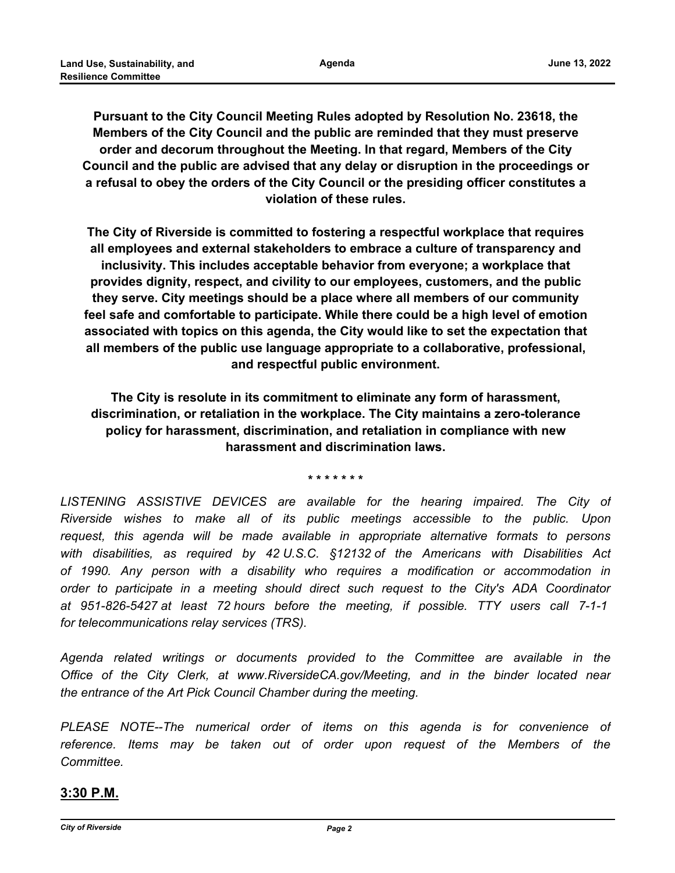**Pursuant to the City Council Meeting Rules adopted by Resolution No. 23618, the Members of the City Council and the public are reminded that they must preserve order and decorum throughout the Meeting. In that regard, Members of the City Council and the public are advised that any delay or disruption in the proceedings or a refusal to obey the orders of the City Council or the presiding officer constitutes a violation of these rules.**

**The City of Riverside is committed to fostering a respectful workplace that requires all employees and external stakeholders to embrace a culture of transparency and inclusivity. This includes acceptable behavior from everyone; a workplace that provides dignity, respect, and civility to our employees, customers, and the public they serve. City meetings should be a place where all members of our community feel safe and comfortable to participate. While there could be a high level of emotion associated with topics on this agenda, the City would like to set the expectation that all members of the public use language appropriate to a collaborative, professional, and respectful public environment.**

**The City is resolute in its commitment to eliminate any form of harassment, discrimination, or retaliation in the workplace. The City maintains a zero-tolerance policy for harassment, discrimination, and retaliation in compliance with new harassment and discrimination laws.**

**\* \* \* \* \* \* \***

LISTENING ASSISTIVE DEVICES are available for the hearing impaired. The City of *Riverside wishes to make all of its public meetings accessible to the public. Upon request, this agenda will be made available in appropriate alternative formats to persons with disabilities, as required by 42 U.S.C. §12132 of the Americans with Disabilities Act of 1990. Any person with a disability who requires a modification or accommodation in order to participate in a meeting should direct such request to the City's ADA Coordinator at 951-826-5427 at least 72 hours before the meeting, if possible. TTY users call 7-1-1 for telecommunications relay services (TRS).*

*Agenda related writings or documents provided to the Committee are available in the Office of the City Clerk, at www.RiversideCA.gov/Meeting, and in the binder located near the entrance of the Art Pick Council Chamber during the meeting.*

PLEASE NOTE--The numerical order of items on this agenda is for convenience of *reference. Items may be taken out of order upon request of the Members of the Committee.*

### **3:30 P.M.**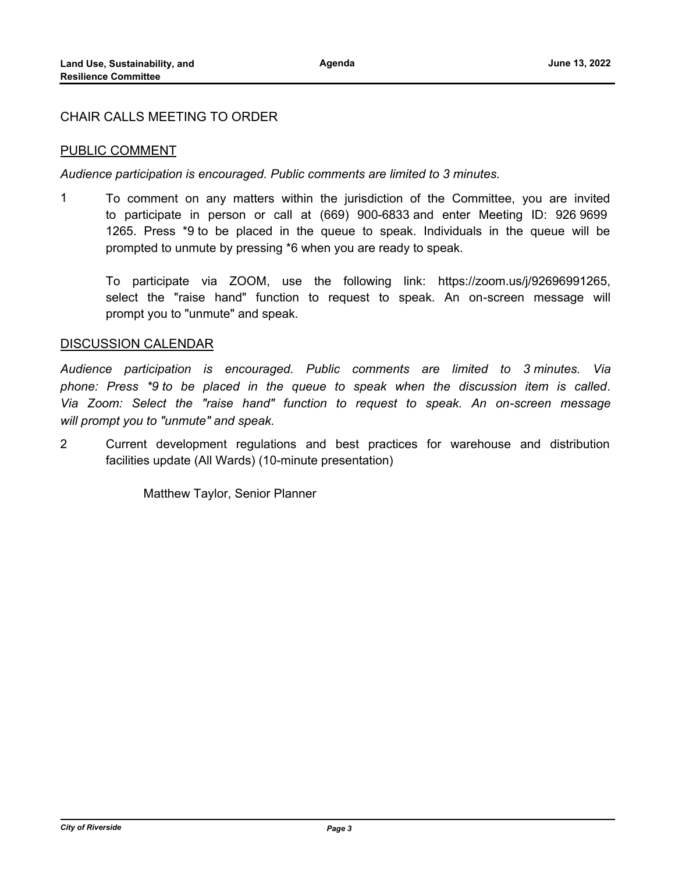#### CHAIR CALLS MEETING TO ORDER

#### PUBLIC COMMENT

*Audience participation is encouraged. Public comments are limited to 3 minutes.*

1 To comment on any matters within the jurisdiction of the Committee, you are invited to participate in person or call at (669) 900-6833 and enter Meeting ID: 926 9699 1265. Press \*9 to be placed in the queue to speak. Individuals in the queue will be prompted to unmute by pressing \*6 when you are ready to speak.

To participate via ZOOM, use the following link: https://zoom.us/j/92696991265, select the "raise hand" function to request to speak. An on-screen message will prompt you to "unmute" and speak.

#### **DISCUSSION CALENDAR**

*Audience participation is encouraged. Public comments are limited to 3 minutes. Via phone: Press \*9 to be placed in the queue to speak when the discussion item is called. Via Zoom: Select the "raise hand" function to request to speak. An on-screen message will prompt you to "unmute" and speak.*

2 Current development regulations and best practices for warehouse and distribution facilities update (All Wards) (10-minute presentation)

Matthew Taylor, Senior Planner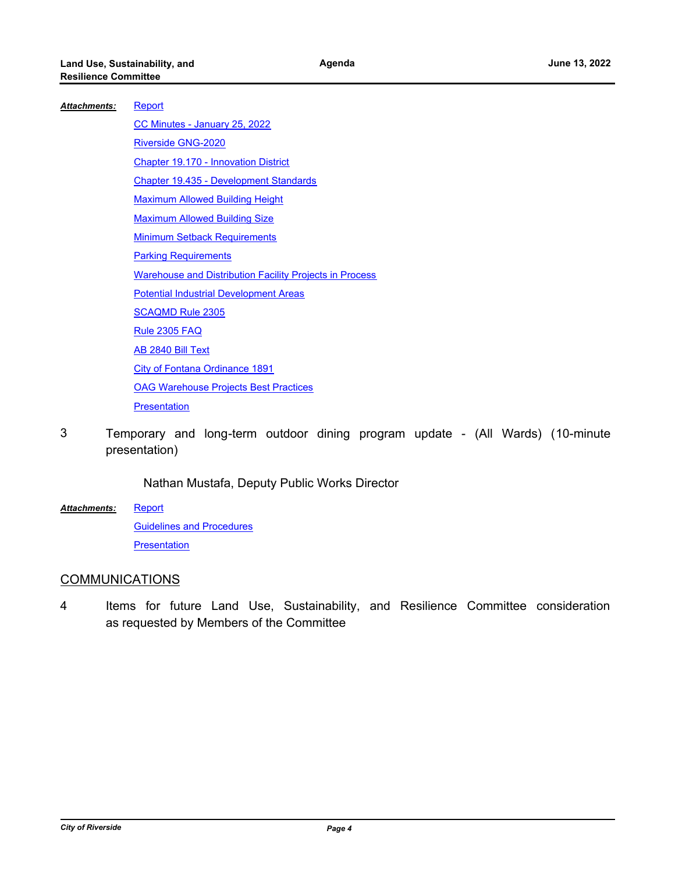| <b>Attachments:</b> | Report                                                         |
|---------------------|----------------------------------------------------------------|
|                     | CC Minutes - January 25, 2022                                  |
|                     | Riverside GNG-2020                                             |
|                     | Chapter 19.170 - Innovation District                           |
|                     | Chapter 19.435 - Development Standards                         |
|                     | <b>Maximum Allowed Building Height</b>                         |
|                     | <b>Maximum Allowed Building Size</b>                           |
|                     | <b>Minimum Setback Requirements</b>                            |
|                     | <b>Parking Requirements</b>                                    |
|                     | <b>Warehouse and Distribution Facility Projects in Process</b> |
|                     | <b>Potential Industrial Development Areas</b>                  |
|                     | <b>SCAQMD Rule 2305</b>                                        |
|                     | <b>Rule 2305 FAQ</b>                                           |
|                     | AB 2840 Bill Text                                              |
|                     | <b>City of Fontana Ordinance 1891</b>                          |
|                     | <b>OAG Warehouse Projects Best Practices</b>                   |
|                     | <b>Presentation</b>                                            |
|                     |                                                                |

3 Temporary and long-term outdoor dining program update - (All Wards) (10-minute presentation)

Nathan Mustafa, Deputy Public Works Director

**[Report](http://riversideca.legistar.com/gateway.aspx?M=F&ID=4d7dc6d8-4e79-4774-9c08-c7e6fac0e229.docx)** [Guidelines and Procedures](http://riversideca.legistar.com/gateway.aspx?M=F&ID=ac4f9c45-d665-427f-91c7-7021d843894a.pdf) **[Presentation](http://riversideca.legistar.com/gateway.aspx?M=F&ID=d36a355e-b653-4d49-9e60-24078778f5be.pdf)** *Attachments:*

### **COMMUNICATIONS**

4 Items for future Land Use, Sustainability, and Resilience Committee consideration as requested by Members of the Committee